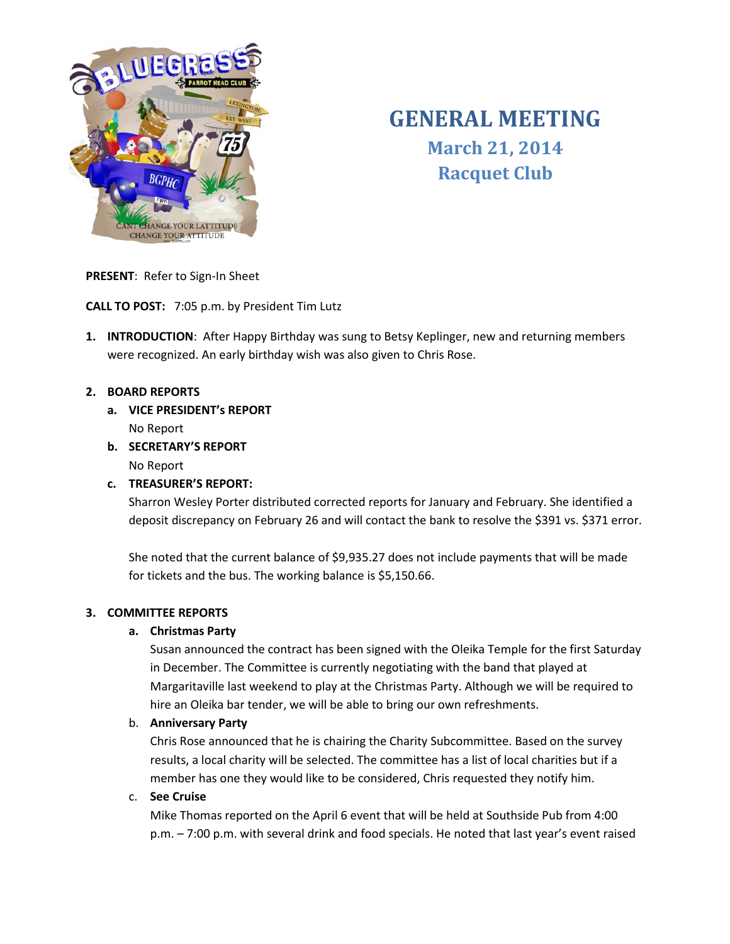

# **GENERAL MEETING March 21, 2014 Racquet Club**

**PRESENT**: Refer to Sign-In Sheet

**CALL TO POST:** 7:05 p.m. by President Tim Lutz

**1. INTRODUCTION**: After Happy Birthday was sung to Betsy Keplinger, new and returning members were recognized. An early birthday wish was also given to Chris Rose.

# **2. BOARD REPORTS**

- **a. VICE PRESIDENT's REPORT** No Report
- **b. SECRETARY'S REPORT** No Report

# **c. TREASURER'S REPORT:**

Sharron Wesley Porter distributed corrected reports for January and February. She identified a deposit discrepancy on February 26 and will contact the bank to resolve the \$391 vs. \$371 error.

She noted that the current balance of \$9,935.27 does not include payments that will be made for tickets and the bus. The working balance is \$5,150.66.

# **3. COMMITTEE REPORTS**

# **a. Christmas Party**

Susan announced the contract has been signed with the Oleika Temple for the first Saturday in December. The Committee is currently negotiating with the band that played at Margaritaville last weekend to play at the Christmas Party. Although we will be required to hire an Oleika bar tender, we will be able to bring our own refreshments.

# b. **Anniversary Party**

Chris Rose announced that he is chairing the Charity Subcommittee. Based on the survey results, a local charity will be selected. The committee has a list of local charities but if a member has one they would like to be considered, Chris requested they notify him.

# c. **See Cruise**

Mike Thomas reported on the April 6 event that will be held at Southside Pub from 4:00 p.m. – 7:00 p.m. with several drink and food specials. He noted that last year's event raised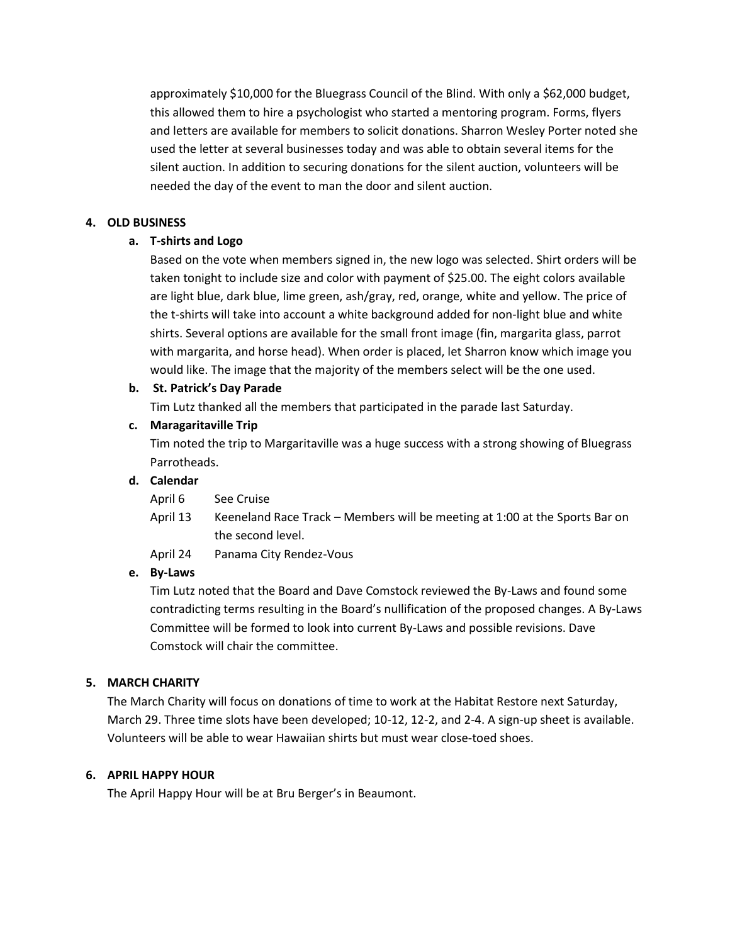approximately \$10,000 for the Bluegrass Council of the Blind. With only a \$62,000 budget, this allowed them to hire a psychologist who started a mentoring program. Forms, flyers and letters are available for members to solicit donations. Sharron Wesley Porter noted she used the letter at several businesses today and was able to obtain several items for the silent auction. In addition to securing donations for the silent auction, volunteers will be needed the day of the event to man the door and silent auction.

## **4. OLD BUSINESS**

## **a. T-shirts and Logo**

Based on the vote when members signed in, the new logo was selected. Shirt orders will be taken tonight to include size and color with payment of \$25.00. The eight colors available are light blue, dark blue, lime green, ash/gray, red, orange, white and yellow. The price of the t-shirts will take into account a white background added for non-light blue and white shirts. Several options are available for the small front image (fin, margarita glass, parrot with margarita, and horse head). When order is placed, let Sharron know which image you would like. The image that the majority of the members select will be the one used.

#### **b. St. Patrick's Day Parade**

Tim Lutz thanked all the members that participated in the parade last Saturday.

## **c. Maragaritaville Trip**

Tim noted the trip to Margaritaville was a huge success with a strong showing of Bluegrass Parrotheads.

#### **d. Calendar**

| April 6 | See Cruise |
|---------|------------|
|         |            |

- April 13 Keeneland Race Track Members will be meeting at 1:00 at the Sports Bar on the second level.
- April 24 Panama City Rendez-Vous

#### **e. By-Laws**

Tim Lutz noted that the Board and Dave Comstock reviewed the By-Laws and found some contradicting terms resulting in the Board's nullification of the proposed changes. A By-Laws Committee will be formed to look into current By-Laws and possible revisions. Dave Comstock will chair the committee.

#### **5. MARCH CHARITY**

The March Charity will focus on donations of time to work at the Habitat Restore next Saturday, March 29. Three time slots have been developed; 10-12, 12-2, and 2-4. A sign-up sheet is available. Volunteers will be able to wear Hawaiian shirts but must wear close-toed shoes.

#### **6. APRIL HAPPY HOUR**

The April Happy Hour will be at Bru Berger's in Beaumont.